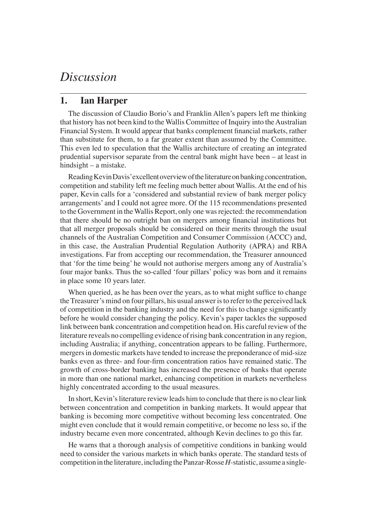## *Discussion*

## **1. Ian Harper**

The discussion of Claudio Borio's and Franklin Allen's papers left me thinking that history has not been kind to the Wallis Committee of Inquiry into the Australian Financial System. It would appear that banks complement financial markets, rather than substitute for them, to a far greater extent than assumed by the Committee. This even led to speculation that the Wallis architecture of creating an integrated prudential supervisor separate from the central bank might have been – at least in hindsight – a mistake.

Reading Kevin Davis' excellent overview of the literature on banking concentration, competition and stability left me feeling much better about Wallis. At the end of his paper, Kevin calls for a 'considered and substantial review of bank merger policy arrangements' and I could not agree more. Of the 115 recommendations presented to the Government in the Wallis Report, only one was rejected: the recommendation that there should be no outright ban on mergers among financial institutions but that all merger proposals should be considered on their merits through the usual channels of the Australian Competition and Consumer Commission (ACCC) and, in this case, the Australian Prudential Regulation Authority (APRA) and RBA investigations. Far from accepting our recommendation, the Treasurer announced that 'for the time being' he would not authorise mergers among any of Australia's four major banks. Thus the so-called 'four pillars' policy was born and it remains in place some 10 years later.

When queried, as he has been over the years, as to what might suffice to change the Treasurer's mind on four pillars, his usual answer is to refer to the perceived lack of competition in the banking industry and the need for this to change significantly before he would consider changing the policy. Kevin's paper tackles the supposed link between bank concentration and competition head on. His careful review of the literature reveals no compelling evidence of rising bank concentration in any region, including Australia; if anything, concentration appears to be falling. Furthermore, mergers in domestic markets have tended to increase the preponderance of mid-size banks even as three- and four-firm concentration ratios have remained static. The growth of cross-border banking has increased the presence of banks that operate in more than one national market, enhancing competition in markets nevertheless highly concentrated according to the usual measures.

In short, Kevin's literature review leads him to conclude that there is no clear link between concentration and competition in banking markets. It would appear that banking is becoming more competitive without becoming less concentrated. One might even conclude that it would remain competitive, or become no less so, if the industry became even more concentrated, although Kevin declines to go this far.

He warns that a thorough analysis of competitive conditions in banking would need to consider the various markets in which banks operate. The standard tests of competition in the literature, including the Panzar-Rosse *H*-statistic, assume a single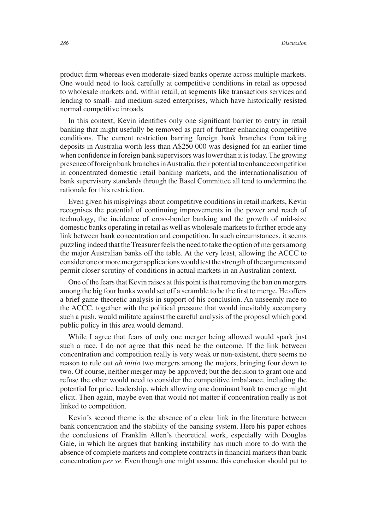product firm whereas even moderate-sized banks operate across multiple markets. One would need to look carefully at competitive conditions in retail as opposed to wholesale markets and, within retail, at segments like transactions services and lending to small- and medium-sized enterprises, which have historically resisted normal competitive inroads.

In this context, Kevin identifies only one significant barrier to entry in retail banking that might usefully be removed as part of further enhancing competitive conditions. The current restriction barring foreign bank branches from taking deposits in Australia worth less than A\$250 000 was designed for an earlier time when confidence in foreign bank supervisors was lower than it is today. The growing presence of foreign bank branches in Australia, their potential to enhance competition in concentrated domestic retail banking markets, and the internationalisation of bank supervisory standards through the Basel Committee all tend to undermine the rationale for this restriction.

Even given his misgivings about competitive conditions in retail markets, Kevin recognises the potential of continuing improvements in the power and reach of technology, the incidence of cross-border banking and the growth of mid-size domestic banks operating in retail as well as wholesale markets to further erode any link between bank concentration and competition. In such circumstances, it seems puzzling indeed that the Treasurer feels the need to take the option of mergers among the major Australian banks off the table. At the very least, allowing the ACCC to consider one or more merger applications would test the strength of the arguments and permit closer scrutiny of conditions in actual markets in an Australian context.

One of the fears that Kevin raises at this point is that removing the ban on mergers among the big four banks would set off a scramble to be the first to merge. He offers a brief game-theoretic analysis in support of his conclusion. An unseemly race to the ACCC, together with the political pressure that would inevitably accompany such a push, would militate against the careful analysis of the proposal which good public policy in this area would demand.

While I agree that fears of only one merger being allowed would spark just such a race, I do not agree that this need be the outcome. If the link between concentration and competition really is very weak or non-existent, there seems no reason to rule out *ab initio* two mergers among the majors, bringing four down to two. Of course, neither merger may be approved; but the decision to grant one and refuse the other would need to consider the competitive imbalance, including the potential for price leadership, which allowing one dominant bank to emerge might elicit. Then again, maybe even that would not matter if concentration really is not linked to competition.

Kevin's second theme is the absence of a clear link in the literature between bank concentration and the stability of the banking system. Here his paper echoes the conclusions of Franklin Allen's theoretical work, especially with Douglas Gale, in which he argues that banking instability has much more to do with the absence of complete markets and complete contracts in financial markets than bank concentration *per se*. Even though one might assume this conclusion should put to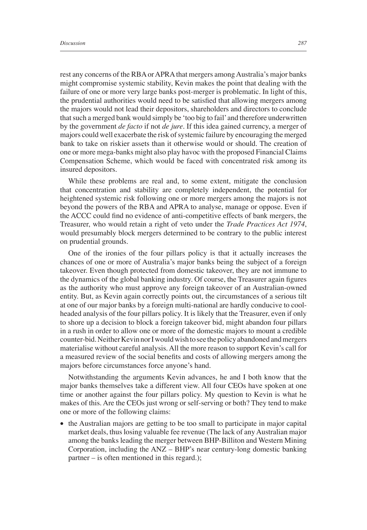rest any concerns of the RBA or APRA that mergers among Australia's major banks might compromise systemic stability, Kevin makes the point that dealing with the failure of one or more very large banks post-merger is problematic. In light of this, the prudential authorities would need to be satisfied that allowing mergers among the majors would not lead their depositors, shareholders and directors to conclude that such a merged bank would simply be 'too big to fail' and therefore underwritten by the government *de facto* if not *de jure*. If this idea gained currency, a merger of majors could well exacerbate the risk of systemic failure by encouraging the merged bank to take on riskier assets than it otherwise would or should. The creation of one or more mega-banks might also play havoc with the proposed Financial Claims Compensation Scheme, which would be faced with concentrated risk among its insured depositors.

While these problems are real and, to some extent, mitigate the conclusion that concentration and stability are completely independent, the potential for heightened systemic risk following one or more mergers among the majors is not beyond the powers of the RBA and APRA to analyse, manage or oppose. Even if the ACCC could find no evidence of anti-competitive effects of bank mergers, the Treasurer, who would retain a right of veto under the *Trade Practices Act 1974*, would presumably block mergers determined to be contrary to the public interest on prudential grounds.

One of the ironies of the four pillars policy is that it actually increases the chances of one or more of Australia's major banks being the subject of a foreign takeover. Even though protected from domestic takeover, they are not immune to the dynamics of the global banking industry. Of course, the Treasurer again figures as the authority who must approve any foreign takeover of an Australian-owned entity. But, as Kevin again correctly points out, the circumstances of a serious tilt at one of our major banks by a foreign multi-national are hardly conducive to coolheaded analysis of the four pillars policy. It is likely that the Treasurer, even if only to shore up a decision to block a foreign takeover bid, might abandon four pillars in a rush in order to allow one or more of the domestic majors to mount a credible counter-bid. Neither Kevin nor I would wish to see the policy abandoned and mergers materialise without careful analysis. All the more reason to support Kevin's call for a measured review of the social benefits and costs of allowing mergers among the majors before circumstances force anyone's hand.

Notwithstanding the arguments Kevin advances, he and I both know that the major banks themselves take a different view. All four CEOs have spoken at one time or another against the four pillars policy. My question to Kevin is what he makes of this. Are the CEOs just wrong or self-serving or both? They tend to make one or more of the following claims:

• the Australian majors are getting to be too small to participate in major capital market deals, thus losing valuable fee revenue (The lack of any Australian major among the banks leading the merger between BHP-Billiton and Western Mining Corporation, including the ANZ – BHP's near century-long domestic banking partner – is often mentioned in this regard.);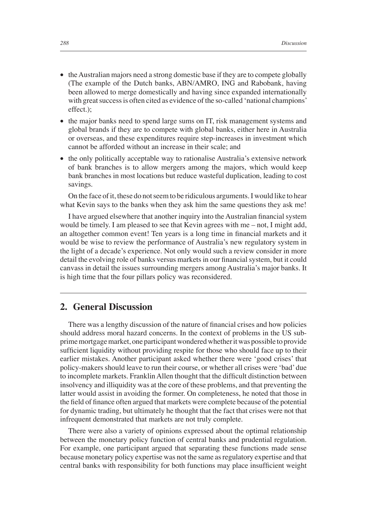- the Australian majors need a strong domestic base if they are to compete globally (The example of the Dutch banks, ABN/AMRO, ING and Rabobank, having been allowed to merge domestically and having since expanded internationally with great success is often cited as evidence of the so-called 'national champions' effect.);
- the major banks need to spend large sums on IT, risk management systems and global brands if they are to compete with global banks, either here in Australia or overseas, and these expenditures require step-increases in investment which cannot be afforded without an increase in their scale; and
- the only politically acceptable way to rationalise Australia's extensive network of bank branches is to allow mergers among the majors, which would keep bank branches in most locations but reduce wasteful duplication, leading to cost savings.

On the face of it, these do not seem to be ridiculous arguments. I would like to hear what Kevin says to the banks when they ask him the same questions they ask me!

I have argued elsewhere that another inquiry into the Australian financial system would be timely. I am pleased to see that Kevin agrees with me – not, I might add, an altogether common event! Ten years is a long time in financial markets and it would be wise to review the performance of Australia's new regulatory system in the light of a decade's experience. Not only would such a review consider in more detail the evolving role of banks versus markets in our financial system, but it could canvass in detail the issues surrounding mergers among Australia's major banks. It is high time that the four pillars policy was reconsidered.

## **2. General Discussion**

There was a lengthy discussion of the nature of financial crises and how policies should address moral hazard concerns. In the context of problems in the US subprime mortgage market, one participant wondered whether it was possible to provide sufficient liquidity without providing respite for those who should face up to their earlier mistakes. Another participant asked whether there were 'good crises' that policy-makers should leave to run their course, or whether all crises were 'bad' due to incomplete markets. Franklin Allen thought that the difficult distinction between insolvency and illiquidity was at the core of these problems, and that preventing the latter would assist in avoiding the former. On completeness, he noted that those in the field of finance often argued that markets were complete because of the potential for dynamic trading, but ultimately he thought that the fact that crises were not that infrequent demonstrated that markets are not truly complete.

There were also a variety of opinions expressed about the optimal relationship between the monetary policy function of central banks and prudential regulation. For example, one participant argued that separating these functions made sense because monetary policy expertise was not the same as regulatory expertise and that central banks with responsibility for both functions may place insufficient weight